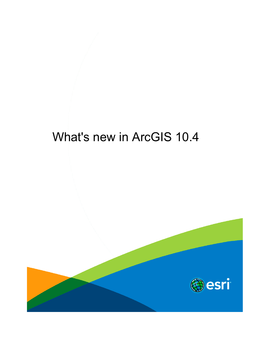# What's new in ArcGIS 10.4

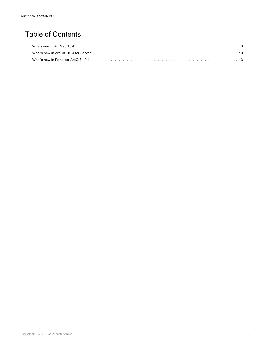## Table of Contents

| What's new in ArcGIS 10.4 for Server entering to the contract of the contract of the contract of the contract of the contract of the contract of the contract of the contract of the contract of the contract of the contract |  |
|-------------------------------------------------------------------------------------------------------------------------------------------------------------------------------------------------------------------------------|--|
|                                                                                                                                                                                                                               |  |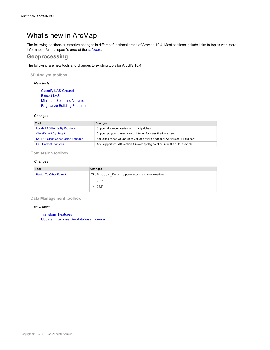## <span id="page-2-0"></span>What's new in ArcMap

The following sections summarize changes in different functional areas of ArcMap 10.4. Most sections include links to topics with more information for that specific area of the software.

## **Geoprocessing**

The following are new tools and changes to existing tools for ArcGIS 10.4.

**3D Analyst toolbox**

#### *New tools*

Classify LAS Ground Extract LAS Minimum Bounding Volume Regularize Building Footprint

#### *Changes*

| Tool                                      | Changes                                                                           |
|-------------------------------------------|-----------------------------------------------------------------------------------|
| <b>Locate LAS Points By Proximity</b>     | Support distance queries from multipatches.                                       |
| Classify LAS By Height                    | Support polygon based area of interest for classification extent.                 |
| <b>Set LAS Class Codes Using Features</b> | Add class codes values up to 255 and overlap flag for LAS version 1.4 support.    |
| <b>LAS Dataset Statistics</b>             | Add support for LAS version 1.4 overlap flag point count in the output text file. |
|                                           |                                                                                   |

#### **Conversion toolbox**

#### *Changes*

| Changes                                          |
|--------------------------------------------------|
| The Raster Format parameter has two new options: |
| $·$ MRF                                          |
| $\cdot$ CRF                                      |
|                                                  |

#### **Data Management toolbox**

#### *New tools*

Transform Features Update Enterprise Geodatabase License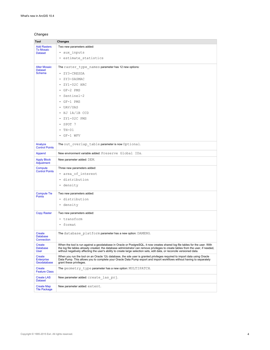#### *Changes*

| Tool                                       | Changes                                                                                                                                                                                                                                                                                                                                                                                     |
|--------------------------------------------|---------------------------------------------------------------------------------------------------------------------------------------------------------------------------------------------------------------------------------------------------------------------------------------------------------------------------------------------------------------------------------------------|
| <b>Add Rasters</b>                         | Two new parameters added:                                                                                                                                                                                                                                                                                                                                                                   |
| <b>To Mosaic</b><br><b>Dataset</b>         | · aux inputs                                                                                                                                                                                                                                                                                                                                                                                |
|                                            | • estimate statistics                                                                                                                                                                                                                                                                                                                                                                       |
| <b>Alter Mosaic</b><br><b>Dataset</b>      | The raster type names parameter has 12 new options:                                                                                                                                                                                                                                                                                                                                         |
| <b>Schema</b>                              | • ZY3-CRESDA                                                                                                                                                                                                                                                                                                                                                                                |
|                                            | ZY3-SASMAC                                                                                                                                                                                                                                                                                                                                                                                  |
|                                            | ZY1-02C HRC                                                                                                                                                                                                                                                                                                                                                                                 |
|                                            | GF-2 PMS<br>$\bullet$                                                                                                                                                                                                                                                                                                                                                                       |
|                                            | Sentinel-2<br>$\bullet$                                                                                                                                                                                                                                                                                                                                                                     |
|                                            | $\cdot$ GF-1 PMS                                                                                                                                                                                                                                                                                                                                                                            |
|                                            | • UAV/UAS                                                                                                                                                                                                                                                                                                                                                                                   |
|                                            | • HJ 1A/1B CCD                                                                                                                                                                                                                                                                                                                                                                              |
|                                            | ZY1-02C PMS                                                                                                                                                                                                                                                                                                                                                                                 |
|                                            | SPOT 7                                                                                                                                                                                                                                                                                                                                                                                      |
|                                            | TH-01<br>$\bullet$                                                                                                                                                                                                                                                                                                                                                                          |
|                                            | $\cdot$ GF-1 WFV                                                                                                                                                                                                                                                                                                                                                                            |
| Analyze<br><b>Control Points</b>           | The out overlap table parameter is now Optional.                                                                                                                                                                                                                                                                                                                                            |
| Append                                     | New environment variable added: Preserve Global IDs.                                                                                                                                                                                                                                                                                                                                        |
| <b>Apply Block</b><br>Adjustment           | New parameter added: DEM.                                                                                                                                                                                                                                                                                                                                                                   |
| Compute                                    | Three new parameters added:                                                                                                                                                                                                                                                                                                                                                                 |
| <b>Control Points</b>                      | • area of interest                                                                                                                                                                                                                                                                                                                                                                          |
|                                            | · distribution                                                                                                                                                                                                                                                                                                                                                                              |
|                                            | • density                                                                                                                                                                                                                                                                                                                                                                                   |
| <b>Compute Tie</b><br><b>Points</b>        | Two new parameters added:                                                                                                                                                                                                                                                                                                                                                                   |
|                                            | · distribution                                                                                                                                                                                                                                                                                                                                                                              |
|                                            | • density                                                                                                                                                                                                                                                                                                                                                                                   |
| <b>Copy Raster</b>                         | Two new parameters added:                                                                                                                                                                                                                                                                                                                                                                   |
|                                            | • transform                                                                                                                                                                                                                                                                                                                                                                                 |
|                                            | • format                                                                                                                                                                                                                                                                                                                                                                                    |
| Create<br><b>Database</b><br>Connection    | The database platform parameter has a new option: DAMENG.                                                                                                                                                                                                                                                                                                                                   |
| Create<br><b>Database</b><br><b>User</b>   | When the tool is run against a geodatabase in Oracle or PostgreSQL, it now creates shared log file tables for the user. With<br>the log file tables already created, the database administrator can remove privileges to create tables from the user, if needed,<br>without negatively affecting the user's ability to create large selection sets, edit data, or reconcile versioned data. |
| Create<br><b>Enterprise</b><br>Geodatabase | When you run the tool on an Oracle 12c database, the sde user is granted privileges required to import data using Oracle<br>Data Pump. This allows you to complete your Oracle Data Pump export and import workflows without having to separately<br>grant these privileges.                                                                                                                |
| Create<br><b>Feature Class</b>             | The geometry type parameter has a new option: MULTIPATCH.                                                                                                                                                                                                                                                                                                                                   |
| <b>Create LAS</b><br><b>Dataset</b>        | New parameter added: create las prj.                                                                                                                                                                                                                                                                                                                                                        |
| <b>Create Map</b><br><b>Tile Package</b>   | New parameter added: extent.                                                                                                                                                                                                                                                                                                                                                                |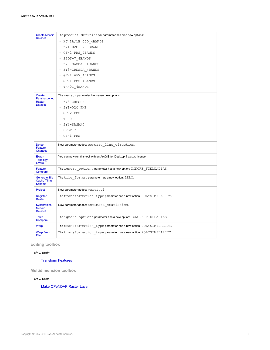| <b>Create Mosaic</b><br><b>Dataset</b>                       | The product definition parameter has nine new options:<br>• HJ 1A/1B CCD 4BANDS<br>· ZY1-02C PMS 3BANDS<br>• GF-2 PMS 4BANDS<br>• SPOT-7 4BANDS<br>• ZY3-SASMAC 4BANDS<br>· ZY3-CRESDA 4BANDS<br>• GF-1 WFV 4BANDS<br>• GF-1 PMS 4BANDS<br>• TH-01 4BANDS |
|--------------------------------------------------------------|-----------------------------------------------------------------------------------------------------------------------------------------------------------------------------------------------------------------------------------------------------------|
| Create<br>Pansharpened<br>Raster<br><b>Dataset</b>           | The sensor parameter has seven new options:<br>• ZY3-CRESDA<br>• ZY1-02C PMS<br>$\cdot$ GF-2 PMS<br>$\cdot$ TH-01<br>ZY3-SASMAC<br>$\cdot$ SPOT 7<br>$\cdot$ GF-1 PMS                                                                                     |
| <b>Detect</b><br>Feature<br>Changes                          | New parameter added: compare line direction.                                                                                                                                                                                                              |
| Export<br><b>Topology</b><br><b>Errors</b>                   | You can now run this tool with an ArcGIS for Desktop Basic license.                                                                                                                                                                                       |
| Feature<br>Compare                                           | The ignore options parameter has a new option: IGNORE FIELDALIAS.                                                                                                                                                                                         |
| <b>Generate Tile</b><br><b>Cache Tiling</b><br><b>Scheme</b> | The tile format parameter has a new option: LERC.                                                                                                                                                                                                         |
| Project                                                      | New parameter added: vertical.                                                                                                                                                                                                                            |
| Register<br>Raster                                           | The transformation type parameter has a new option: POLYSIMILARITY.                                                                                                                                                                                       |
| Synchronize<br><b>Mosaic</b><br><b>Dataset</b>               | New parameter added: estimate statistics.                                                                                                                                                                                                                 |
| Table<br>Compare                                             | The ignore options parameter has a new option: IGNORE FIELDALIAS.                                                                                                                                                                                         |
| <b>Warp</b>                                                  | The transformation type parameter has a new option: POLYSIMILARITY.                                                                                                                                                                                       |
| <b>Warp From</b><br>File                                     | The transformation type parameter has a new option: POLYSIMILARITY.                                                                                                                                                                                       |

### **Editing toolbox**

#### *New tools*

#### Transform Features

**Multidimension toolbox**

#### *New tools*

Make OPeNDAP Raster Layer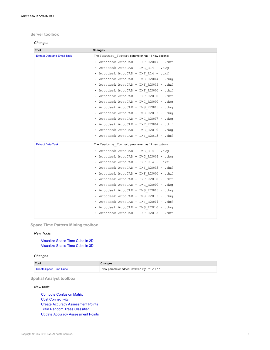#### **Server toolbox**

#### *Changes*

| Tool                               | Changes                                          |
|------------------------------------|--------------------------------------------------|
| <b>Extract Data and Email Task</b> | The Feature Format parameter has 14 new options: |
|                                    | • Autodesk AutoCAD - DXF R2007 - .dxf            |
|                                    | . Autodesk AutoCAD - DWG R14 - .dwg              |
|                                    | · Autodesk AutoCAD - DXF R14 - .dxf              |
|                                    | . Autodesk AutoCAD - DWG R2004 - .dwg            |
|                                    | · Autodesk AutoCAD - DXF R2005 - .dxf            |
|                                    | · Autodesk AutoCAD - DXF R2000 - .dxf            |
|                                    | · Autodesk AutoCAD - DXF R2010 - .dxf            |
|                                    | . Autodesk AutoCAD - DWG R2000 - .dwg            |
|                                    | · Autodesk AutoCAD - DWG R2005 - .dwg            |
|                                    | . Autodesk AutoCAD - DWG R2013 - .dwg            |
|                                    | · Autodesk AutoCAD - DWG R2007 - .dwg            |
|                                    | · Autodesk AutoCAD - DXF R2004 - .dxf            |
|                                    | · Autodesk AutoCAD - DWG R2010 - .dwg            |
|                                    | • Autodesk AutoCAD - DXF R2013 - .dxf            |
| <b>Extract Data Task</b>           | The Feature Format parameter has 12 new options: |
|                                    | . Autodesk AutoCAD - DWG R14 - .dwg              |
|                                    | . Autodesk AutoCAD - DWG R2004 - .dwg            |
|                                    | • Autodesk AutoCAD - DXF R14 - .dxf              |
|                                    | • Autodesk AutoCAD - DXF R2005 - .dxf            |
|                                    | · Autodesk AutoCAD - DXF R2000 - .dxf            |
|                                    | • Autodesk AutoCAD - DXF R2010 - .dxf            |
|                                    | • Autodesk AutoCAD - DWG R2000 - .dwg            |
|                                    | • Autodesk AutoCAD - DWG R2005 - .dwg            |
|                                    | . Autodesk AutoCAD - DWG R2013 - .dwg            |
|                                    | • Autodesk AutoCAD - DXF R2004 - .dxf            |
|                                    | • Autodesk AutoCAD - DWG R2010 - .dwg            |
|                                    | · Autodesk AutoCAD - DXF R2013 - .dxf            |

**Space Time Pattern Mining toolbox**

#### *New Tools*

Visualize Space Time Cube in 2D Visualize Space Time Cube in 3D

#### *Changes*

| Tool                   | Changes                              |
|------------------------|--------------------------------------|
| Create Space Time Cube | New parameter added: summary fields. |

#### **Spatial Analyst toolbox**

#### *New tools*

Compute Confusion Matrix Cost Connectivity Create Accuracy Assessment Points Train Random Trees Classifier Update Accuracy Assessment Points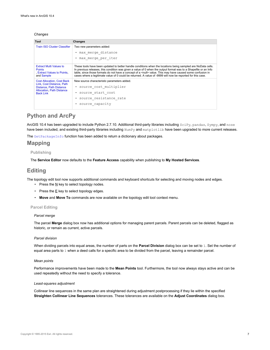#### *Changes*

| Tool                                                                                         | Changes                                                                                                                                                                                                                                                                                                                                                                                                                                                               |
|----------------------------------------------------------------------------------------------|-----------------------------------------------------------------------------------------------------------------------------------------------------------------------------------------------------------------------------------------------------------------------------------------------------------------------------------------------------------------------------------------------------------------------------------------------------------------------|
| Train ISO Cluster Classifier                                                                 | Two new parameters added:                                                                                                                                                                                                                                                                                                                                                                                                                                             |
|                                                                                              | • max merge distance                                                                                                                                                                                                                                                                                                                                                                                                                                                  |
|                                                                                              | max merge per iter                                                                                                                                                                                                                                                                                                                                                                                                                                                    |
| <b>Extract Multi Values to</b><br><b>Points</b><br>, Extract Values to Points,<br>and Sample | These tools have been updated to better handle conditions when the locations being sampled are NoData cells.<br>In previous releases, this condition was given a value of 0 when the output format was to a Shapefile or an Info<br>table, since those formats do not have a concept of a <null> value. This may have caused some confusion in<br/>cases where a legitimate value of 0 could be returned. A value of -9999 will now be reported for this case.</null> |
| <b>Cost Allocation, Cost Back</b><br>Link. Cost Distance, Path                               | New source characteristic parameters added.                                                                                                                                                                                                                                                                                                                                                                                                                           |
| Distance, Path Distance                                                                      | • source cost multiplier                                                                                                                                                                                                                                                                                                                                                                                                                                              |
| <b>Allocation, Path Distance</b><br><b>Back Link</b>                                         | · source start cost                                                                                                                                                                                                                                                                                                                                                                                                                                                   |
|                                                                                              | · source resistance rate                                                                                                                                                                                                                                                                                                                                                                                                                                              |
|                                                                                              | source capacity                                                                                                                                                                                                                                                                                                                                                                                                                                                       |

## **Python and ArcPy**

ArcGIS 10.4 has been upgraded to include Python 2.7.10. Additional third-party libraries including SciPy, pandas, Sympy, and nose have been included, and existing third-party libraries including NumPy and matplotlib have been upgraded to more current releases.

The GetPackageInfo function has been added to return a dictionary about packages.

## **Mapping**

#### **Publishing**

The **Service Editor** now defaults to the **Feature Access** capability when publishing to **My Hosted Services**.

## **Editing**

The topology edit tool now supports additional commands and keyboard shortcuts for selecting and moving nodes and edges.

- Press the  $\underline{N}$  key to select topology nodes.
- Press the  $E$  key to select topology edges.
- **Move** and **Move To** commands are now available on the topology edit tool context menu.

#### **Parcel Editing**

#### *Parcel merge*

The parcel **Merge** dialog box now has additional options for managing parent parcels. Parent parcels can be deleted, flagged as historic, or remain as current, active parcels.

#### *Parcel division*

When dividing parcels into equal areas, the number of parts on the **Parcel Division** dialog box can be set to 1. Set the number of equal area parts to 1 when a deed calls for a specific area to be divided from the parcel, leaving a remainder parcel.

#### *Mean points*

Performance improvements have been made to the **Mean Points** tool. Furthermore, the tool now always stays active and can be used repeatedly without the need to specify a tolerance.

#### *Least-squares adjustment*

Collinear line sequences in the same plan are straightened during adjustment postprocessing if they lie within the specified **Straighten Collinear Line Sequences** tolerances. These tolerances are available on the **Adjust Coordinates** dialog box.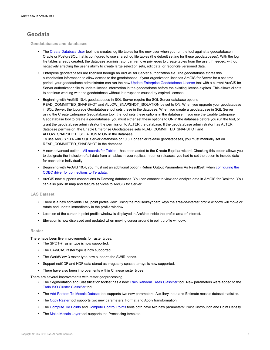## **Geodata**

**Geodatabases and databases**

- The Create Database User tool now creates log file tables for the new user when you run the tool against a geodatabase in Oracle or PostgreSQL that is configured to use shared log file tables (the default setting for these geodatabases). With the log file tables already created, the database administrator can remove privileges to create tables from the user, if needed, without negatively affecting the user's ability to create large selection sets, edit data, or reconcile versioned data.
- Enterprise geodatabases are licensed through an ArcGIS for Server authorization file. The geodatabase stores this authorization information to allow access to the geodatabase. If your organization licenses ArcGIS for Server for a set time period, your geodatabase administrator can run the new Update Enterprise Geodatabase License tool with a current ArcGIS for Server authorization file to update license information in the geodatabase before the existing license expires. This allows clients to continue working with the geodatabase without interruptions caused by expired licenses.
- Beginning with ArcGIS 10.4, geodatabases in SQL Server require the SQL Server database options READ\_COMMITTED\_SNAPSHOT and ALLOW\_SNAPSHOT\_ISOLATION be set to ON. When you upgrade your geodatabase in SQL Server, the Upgrade Geodatabase tool sets these in the database. When you create a geodatabase in SQL Server using the Create Enterprise Geodatabase tool, the tool sets these options in the database. If you use the Enable Enterprise Geodatabase tool to create a geodatabase, you must either set these options to ON in the database before you run the tool, or grant the geodatabase administrator the permission to ALTER the database. If the geodatabase administrator has ALTER database permission, the Enable Enterprise Geodatabase sets READ\_COMMITTED\_SNAPSHOT and ALLOW\_SNAPSHOT\_ISOLATION to ON in the database.

To use ArcGIS 10.4 with SQL Server databases or 10.3.1 or earlier release geodatabases, you must manually set on READ\_COMMITTED\_SNAPSHOT in the database.

- A new advanced option—All records for Tables—has been added to the **Create Replica** wizard. Checking this option allows you to designate the inclusion of all data from all tables in your replica. In earlier releases, you had to set the option to include data for each table individually.
- Beginning with ArcGIS 10.4, you must set an additional option (Return Output Parameters As ResultSet) when configuring the ODBC driver for connections to Teradata.
- ArcGIS now supports connections to Dameng databases. You can connect to view and analyze data in ArcGIS for Desktop. You can also publish map and feature services to ArcGIS for Server.

#### **LAS Dataset**

- There is a new scrollable LAS point profile view. Using the mouse/keyboard keys the area-of-interest profile window will move or rotate and update immediately in the profile window.
- Location of the cursor in point profile window is displayed in ArcMap inside the profile area-of-interest.
- Elevation is now displayed and updated when moving cursor around in point profile window.

#### **Raster**

There have been five improvements for raster types.

- The SPOT-7 raster type is now supported.
- The UAV/UAS raster type is now supported.
- The WorldView-3 raster type now supports the SWIR bands.
- Support netCDF and HDF data stored as irregularly spaced arrays is now supported.
- There have also been improvements within Chinese raster types.

There are several improvements with raster geoprocessing.

- The Segmentation and Classification toolset has a new Train Random Trees Classifier tool. New parameters were added to the Train ISO Cluster Classifier tool.
- The Add Rasters To Mosaic Dataset tool supports two new parameters: Auxiliary input and Estimate mosaic dataset statistics.
- The Copy Raster tool supports two new parameters: Format and Apply transformation.
- The Compute Tie Points and Compute Control Points tools both have two new parameters: Point Distribution and Point Density.
- The Make Mosaic Layer tool supports the Processing template.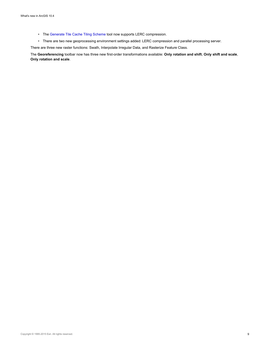- The Generate Tile Cache Tiling Scheme tool now supports LERC compression.
- There are two new geoprocessing environment settings added: LERC compression and parallel processing server.

There are three new raster functions: Swath, Interpolate Irregular Data, and Rasterize Feature Class.

The **Georeferencing** toolbar now has three new first-order transformations available: **Only rotation and shift**, **Only shift and scale**, **Only rotation and scale**.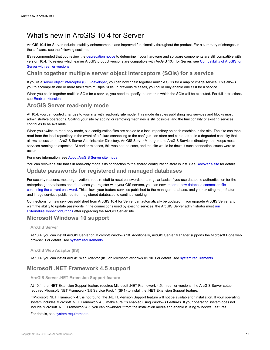## <span id="page-9-0"></span>What's new in ArcGIS 10.4 for Server

ArcGIS 10.4 for Server includes stability enhancements and improved functionality throughout the product. For a summary of changes in the software, see the following sections.

It's recommended that you review the deprecation notice to determine if your hardware and software components are still compatible with version 10.4. To review which earlier ArcGIS product versions are compatible with ArcGIS 10.4 for Server, see Compatibility of ArcGIS for Server with earlier versions.

## **Chain together multiple server object interceptors (SOIs) for a service**

If you're a server object interceptor (SOI) developer, you can now chain together multiple SOIs for a map or image service. This allows you to accomplish one or more tasks with multiple SOIs. In previous releases, you could only enable one SOI for a service.

When you chain together multiple SOIs for a service, you need to specify the order in which the SOIs will be executed. For full instructions, see Enable extensions.

## **ArcGIS Server read-only mode**

At 10.4, you can control changes to your site with read-only site mode. This mode disables publishing new services and blocks most administrative operations. Scaling your site by adding or removing machines is still possible, and the functionality of existing services continues to be available.

When you switch to read-only mode, site configuration files are copied to a local repository on each machine in the site. The site can then read from the local repository in the event of a failure connecting to the configuration store and can operate in a degraded capacity that allows access to the ArcGIS Server Administrator Directory, ArcGIS Server Manager, and ArcGIS Services directory, and keeps most services running as expected. At earlier releases, this was not the case, and the site would be down if such connection issues were to occur.

For more information, see About ArcGIS Server site mode.

You can recover a site that's in read-only mode if its connection to the shared configuration store is lost. See Recover a site for details.

## **Update passwords for registered and managed databases**

For security reasons, most organizations require staff to reset passwords on a regular basis. If you use database authentication for the enterprise geodatabases and databases you register with your GIS servers, you can now import a new database connection file containing the current password. This allows your feature services published to the managed database, and your existing map, feature, and image services published from registered databases to continue working.

Connections for new services published from ArcGIS 10.4 for Server can automatically be updated. If you upgrade ArcGIS Server and want the ability to update passwords in the connections used by existing services, the ArcGIS Server administrator must run ExternalizeConnectionStrings after upgrading the ArcGIS Server site.

## **Microsoft Windows 10 support**

#### **ArcGIS Server**

At 10.4, you can install ArcGIS Server on Microsoft Windows 10. Additionally, ArcGIS Server Manager supports the Microsoft Edge web browser. For details, see system requirements.

#### **ArcGIS Web Adaptor (IIS)**

At 10.4, you can install ArcGIS Web Adaptor (IIS) on Microsoft Windows IIS 10. For details, see system requirements.

## **Microsoft .NET Framework 4.5 support**

#### **ArcGIS Server .NET Extension Support feature**

At 10.4, the .NET Extension Support feature requires Microsoft .NET Framework 4.5. In earlier versions, the ArcGIS Server setup required Microsoft .NET Framework 3.5 Service Pack 1 (SP1) to install the .NET Extension Support feature.

If Microsoft .NET Framework 4.5 is not found, the .NET Extension Support feature will not be available for installation. If your operating system includes Microsoft .NET Framework 4.5, make sure it's enabled using Windows Features. If your operating system does not include Microsoft .NET Framework 4.5, you can download it from the installation media and enable it using Windows Features.

For details, see system requirements.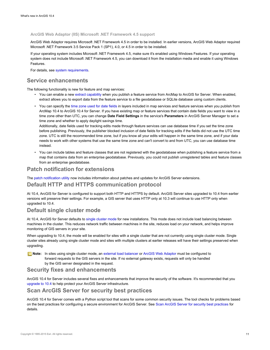#### **ArcGIS Web Adaptor (IIS) Microsoft .NET Framework 4.5 support**

ArcGIS Web Adaptor requires Microsoft .NET Framework 4.5 in order to be installed. In earlier versions, ArcGIS Web Adaptor required Microsoft .NET Framework 3.5 Service Pack 1 (SP1), 4.0, or 4.5 in order to be installed.

If your operating system includes Microsoft .NET Framework 4.5, make sure it's enabled using Windows Features. If your operating system does not include Microsoft .NET Framework 4.5, you can download it from the installation media and enable it using Windows Features.

For details, see system requirements.

## **Service enhancements**

The following functionality is new for feature and map services:

- You can enable a new extract capability when you publish a feature service from ArcMap to ArcGIS for Server. When enabled, extract allows you to export data from the feature service to a file geodatabase or SQLite database using custom clients.
- You can specify the time zone used for date fields in layers included in map services and feature services when you publish from ArcMap 10.4 to ArcGIS 10.4 for Server. If you have existing map or feature services that contain date fields you want to view in a time zone other than UTC, you can change **Date Field Settings** in the service's **Parameters** in ArcGIS Server Manager to set a time zone and whether to apply daylight savings time.

Additionally, date fields used for tracking edits made through feature services can use database time if you set the time zone before publishing. Previously, the publisher blocked inclusion of date fields for tracking edits if the fields did not use the UTC time zone. UTC is still the recommended time zone, but if you know all your edits will happen in the same time zone, and if your data needs to work with other systems that use the same time zone and can't convert to and from UTC, you can use database time instead.

• You can include tables and feature classes that are not registered with the geodatabase when publishing a feature service from a map that contains data from an enterprise geodatabase. Previously, you could not publish unregistered tables and feature classes from an enterprise geodatabase.

## **Patch notification for extensions**

The patch notification utility now includes information about patches and updates for ArcGIS Server extensions.

### **Default HTTP and HTTPS communication protocol**

At 10.4, ArcGIS for Server is configured to support both HTTP and HTTPS by default. ArcGIS Server sites upgraded to 10.4 from earlier versions will preserve their settings. For example, a GIS server that uses HTTP only at 10.3 will continue to use HTTP only when upgraded to 10.4.

#### **Default single cluster mode**

At 10.4, ArcGIS for Server defaults to single cluster mode for new installations. This mode does not include load balancing between machines in the cluster. This reduces network traffic between machines in the site, reduces load on your network, and helps improve monitoring of GIS servers in your site.

When upgrading to 10.4, the mode will be enabled for sites with a single cluster that are not currently using single cluster mode. Single cluster sites already using single cluster mode and sites with multiple clusters at earlier releases will have their settings preserved when upgrading.

**Note:** In sites using single cluster mode, an external load balancer or ArcGIS Web Adaptor must be configured to forward requests to the GIS servers in the site. If no external gateway exists, requests will only be handled by the GIS server designated in the request.

#### **Security fixes and enhancements**

ArcGIS 10.4 for Server includes several fixes and enhancements that improve the security of the software. It's recommended that you upgrade to 10.4 to help protect your ArcGIS Server infrastructure.

### **Scan ArcGIS Server for security best practices**

ArcGIS 10.4 for Server comes with a Python script tool that scans for some common security issues. The tool checks for problems based on the best practices for configuring a secure environment for ArcGIS Server. See Scan ArcGIS Server for security best practices for details.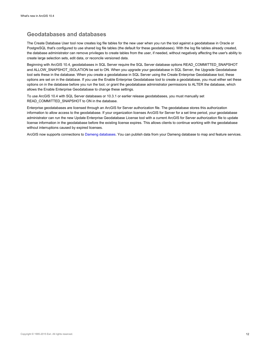## **Geodatabases and databases**

The Create Database User tool now creates log file tables for the new user when you run the tool against a geodatabase in Oracle or PostgreSQL that's configured to use shared log file tables (the default for these geodatabases). With the log file tables already created, the database administrator can remove privileges to create tables from the user, if needed, without negatively affecting the user's ability to create large selection sets, edit data, or reconcile versioned data.

Beginning with ArcGIS 10.4, geodatabases in SQL Server require the SQL Server database options READ\_COMMITTED\_SNAPSHOT and ALLOW\_SNAPSHOT\_ISOLATION be set to ON. When you upgrade your geodatabase in SQL Server, the Upgrade Geodatabase tool sets these in the database. When you create a geodatabase in SQL Server using the Create Enterprise Geodatabase tool, these options are set on in the database. If you use the Enable Enterprise Geodatabase tool to create a geodatabase, you must either set these options on in the database before you run the tool, or grant the geodatabase administrator permissions to ALTER the database, which allows the Enable Enterprise Geodatabase to change these settings.

To use ArcGIS 10.4 with SQL Server databases or 10.3.1 or earlier release geodatabases, you must manually set READ\_COMMITTED\_SNAPSHOT to ON in the database.

Enterprise geodatabases are licensed through an ArcGIS for Server authorization file. The geodatabase stores this authorization information to allow access to the geodatabase. If your organization licenses ArcGIS for Server for a set time period, your geodatabase administrator can run the new Update Enterprise Geodatabase License tool with a current ArcGIS for Server authorization file to update license information in the geodatabase before the existing license expires. This allows clients to continue working with the geodatabase without interruptions caused by expired licenses.

ArcGIS now supports connections to Dameng databases. You can publish data from your Dameng database to map and feature services.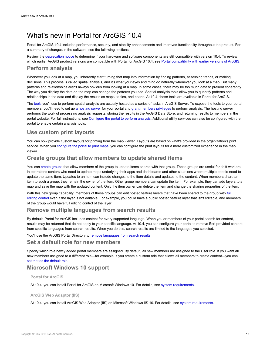## <span id="page-12-0"></span>What's new in Portal for ArcGIS 10.4

Portal for ArcGIS 10.4 includes performance, security, and stability enhancements and improved functionality throughout the product. For a summary of changes in the software, see the following sections.

Review the deprecation notice to determine if your hardware and software components are still compatible with version 10.4. To review which earlier ArcGIS product versions are compatible with Portal for ArcGIS 10.4, see Portal compatibility with earlier versions of ArcGIS.

## **Perform analysis**

Whenever you look at a map, you inherently start turning that map into information by finding patterns, assessing trends, or making decisions. This process is called spatial analysis, and it's what your eyes and mind do naturally whenever you look at a map. But many patterns and relationships aren't always obvious from looking at a map. In some cases, there may be too much data to present coherently. The way you display the data on the map can change the patterns you see. Spatial analysis tools allow you to quantify patterns and relationships in the data and display the results as maps, tables, and charts. At 10.4, these tools are available in Portal for ArcGIS.

The tools you'll use to perform spatial analysis are actually hosted as a series of tasks in ArcGIS Server. To expose the tools to your portal members, you'll need to set up a hosting server for your portal and grant members privileges to perform analysis. The hosting server performs the work of processing analysis requests, storing the results in the ArcGIS Data Store, and returning results to members in the portal website. For full instructions, see Configure the portal to perform analysis. Additional utility services can also be configured with the portal to enable certain analysis tools.

## **Use custom print layouts**

You can now provide custom layouts for printing from the map viewer. Layouts are based on what's provided in the organization's print service. When you configure the portal to print maps, you can configure the print layouts for a more customized experience in the map viewer.

## **Create groups that allow members to update shared items**

You can create groups that allow members of the group to update items shared with that group. These groups are useful for shift workers in operations centers who need to update maps underlying their apps and dashboards and other situations where multiple people need to update the same item. Updates to an item can include changes to the item details and updates to the content. When members share an item to such a group, they remain the owner of the item. Other group members can update the item. For example, they can add layers to a map and save the map with the updated content. Only the item owner can delete the item and change the sharing properties of the item.

With this new group capability, members of these groups can edit hosted feature layers that have been shared to the group with full editing control even if the layer is not editable. For example, you could have a public hosted feature layer that isn't editable, and members of the group would have full editing control of the layer.

## **Remove multiple languages from search results**

By default, Portal for ArcGIS includes content for every supported language. When you or members of your portal search for content, results may be returned that do not apply to your specific language. At 10.4, you can configure your portal to remove Esri-provided content from specific languages from search results. When you do this, search results are limited to the languages you selected.

You'll use the ArcGIS Portal Directory to remove languages from search results.

## **Set a default role for new members**

Specify which role newly added portal members are assigned. By default, all new members are assigned to the User role. If you want all new members assigned to a different role—for example, if you create a custom role that allows all members to create content—you can set that as the default role.

## **Microsoft Windows 10 support**

**Portal for ArcGIS**

At 10.4, you can install Portal for ArcGIS on Microsoft Windows 10. For details, see system requirements.

#### **ArcGIS Web Adaptor (IIS)**

At 10.4, you can install ArcGIS Web Adaptor (IIS) on Microsoft Windows IIS 10. For details, see system requirements.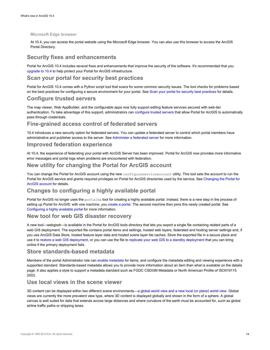#### **Microsoft Edge browser**

At 10.4, you can access the portal website using the Microsoft Edge browser. You can also use this browser to access the ArcGIS Portal Directory.

## **Security fixes and enhancements**

Portal for ArcGIS 10.4 includes several fixes and enhancements that improve the security of the software. It's recommended that you upgrade to 10.4 to help protect your Portal for ArcGIS infrastructure.

## **Scan your portal for security best practices**

Portal for ArcGIS 10.4 comes with a Python script tool that scans for some common security issues. The tool checks for problems based on the best practices for configuring a secure environment for your portal. See Scan your portal for security best practices for details.

## **Configure trusted servers**

The map viewer, Web AppBuilder, and the configurable apps now fully support editing feature services secured with web-tier authentication. To take advantage of this support, administrators can configure trusted servers that allow Portal for ArcGIS to automatically pass through credentials.

## **Fine-grained access control of federated servers**

10.4 introduces a new security option for federated servers. You can update a federated server to control which portal members have administrative and publisher access to the server. See Administer a federated server for more information.

#### **Improved federation experience**

At 10.4, the experience of federating your portal with ArcGIS Server has been improved. Portal for ArcGIS now provides more informative error messages and portal logs when problems are encountered with federation.

## **New utility for changing the Portal for ArcGIS account**

You can change the Portal for ArcGIS account using the new configureserviceaccount utility. This tool sets the account to run the Portal for ArcGIS service and grants required privileges on Portal for ArcGIS directories used by the service. See Changing the Portal for ArcGIS account for details.

## **Changes to configuring a highly available portal**

Portal for ArcGIS no longer uses the portalha tool for creating a highly available portal. Instead, there is a new step in the process of setting up Portal for ArcGIS: with one machine, you create a portal. The second machine then joins this newly created portal. See Configuring a highly available portal for more information.

## **New tool for web GIS disaster recovery**

A new tool—webgisdr—is available in the Portal for ArcGIS tools directory that lets you export a single file containing related parts of a web GIS deployment. The exported file contains portal items and settings, hosted web layers, federated and hosting server settings and, if you use ArcGIS Data Store, hosted feature layer data and hosted scene layer tile caches. Store the exported file in a secure place and use it to restore a web GIS deployment, or you can use the file to replicate your web GIS to a standby deployment that you can bring online if the primary deployment fails.

## **Store standards-based metadata**

Members of the portal Administrator role can enable metadata for items, and configure the metadata editing and viewing experience with a supported standard. Standards-based metadata allows you to provide more information about an item than what is available on the details page. It also applies a style to support a metadata standard such as FGDC CSDGM Metadata or North American Profile of ISO019115 2003.

## **Use local views in the scene viewer**

3D content can be displayed within two different scene environments—a global world view and a new local (or plane) world view. Global views are currently the more prevalent view type, where 3D content is displayed globally and shown in the form of a sphere. A global canvas is well suited for data that extends across large distances and where curvature of the earth must be accounted for, such as global airline traffic paths or shipping lanes.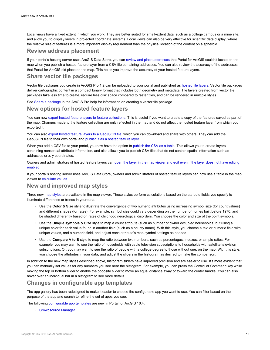Local views have a fixed extent in which you work. They are better suited for small-extent data, such as a college campus or a mine site, and allow you to display layers in projected coordinate systems. Local views can also be very effective for scientific data display, where the relative size of features is a more important display requirement than the physical location of the content on a spheroid.

## **Review address placement**

If your portal's hosting server uses ArcGIS Data Store, you can review and place addresses that Portal for ArcGIS couldn't locate on the map when you publish a hosted feature layer from a CSV file containing addresses. You can also review the accuracy of the addresses that Portal for ArcGIS did place on the map. This helps you improve the accuracy of your hosted feature layers.

## **Share vector tile packages**

Vector tile packages you create in ArcGIS Pro 1.2 can be uploaded to your portal and published as hosted tile layers. Vector tile packages deliver cartographic content in a compact binary format that includes both geometry and metadata. Tile layers created from vector tile packages take less time to create, require less disk space compared to raster tiles, and can be rendered in multiple styles.

See Share a package in the ArcGIS Pro help for information on creating a vector tile package.

### **New options for hosted feature layers**

You can now export hosted feature layers to feature collections. This is useful if you want to create a copy of the features saved as part of the map. Changes made to the feature collection are only reflected in the map and do not affect the hosted feature layer from which you exported it.

You can also export hosted feature layers to a GeoJSON file, which you can download and share with others. They can add the GeoJSON file to their own portal and publish it as a hosted feature layer.

When you add a CSV file to your portal, you now have the option to publish the CSV as a table. This allows you to create layers containing nonspatial attribute information, and also allows you to publish CSV files that do not contain spatial information such as addresses or x, y coordinates.

Owners and administrators of hosted feature layers can open the layer in the map viewer and edit even if the layer does not have editing enabled.

If your portal's hosting server uses ArcGIS Data Store, owners and administrators of hosted feature layers can now use a table in the map viewer to calculate values.

## **New and improved map styles**

Three new map styles are available in the map viewer. These styles perform calculations based on the attribute fields you specify to illuminate differences or trends in your data.

- Use the **Color & Size** style to illustrate the convergence of two numeric attributes using increasing symbol size (for count values) and different shades (for rates). For example, symbol size could vary depending on the number of homes built before 1970, and be shaded differently based on rates of childhood neurological disorders. You choose the color and size of the point symbols.
- Use the **Unique symbols & Size** style to map a count attribute (such as number of owner occupied households) but using a unique color for each value found in another field (such as a county name). With this style, you choose a text or numeric field with unique values, and a numeric field, and adjust each attribute's map symbol settings as needed.
- Use the **Compare A to B** style to map the ratio between two numbers, such as percentages, indexes, or simple ratios. For example, you may want to see the ratio of households with cable television subscriptions to households with satellite television subscriptions. Or, you may want to see the ratio of people with a college degree to those without one, on the map. With this style, you choose the attributes in your data, and adjust the sliders in the histogram as desired to make the comparison.

In addition to the new map styles described above, histogram sliders have improved precision and are easier to use. It's more evident that you can manually set values for any numbers you see near the histogram. For example, you can press the Control or Command key while moving the top or bottom slider to enable the opposite slider to move an equal distance away or toward the center handle. You can also hover over an individual bar in a histogram to see more details.

## **Changes in configurable app templates**

The app gallery has been redesigned to make it easier to choose the configurable app you want to use. You can filter based on the purpose of the app and search to refine the set of apps you see.

The following configurable app templates are new in Portal for ArcGIS 10.4:

• Crowdsource Manager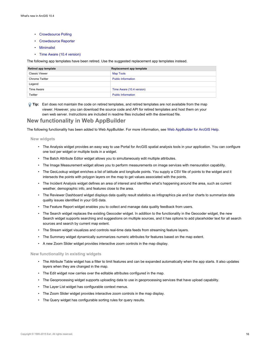- Crowdsource Polling
- Crowdsource Reporter
- Minimalist
- Time Aware (10.4 version)

The following app templates have been retired. Use the suggested replacement app templates instead.

| Retired app template  | Replacement app template  |
|-----------------------|---------------------------|
| Classic Viewer        | <b>Map Tools</b>          |
| <b>Chrome Twitter</b> | <b>Public Information</b> |
| Legend                |                           |
| Time Aware            | Time Aware (10.4 version) |
| Twitter               | <b>Public Information</b> |

**Tip:** Esri does not maintain the code on retired templates, and retired templates are not available from the map viewer. However, you can download the source code and API for retired templates and host them on your own web server. Instructions are included in readme files included with the download file.

#### **New functionality in Web AppBuilder**

The following functionality has been added to Web AppBuilder. For more information, see Web AppBuilder for ArcGIS Help.

#### **New widgets**

- The Analysis widget provides an easy way to use Portal for ArcGIS spatial analysis tools in your application. You can configure one tool per widget or multiple tools in a widget.
- The Batch Attribute Editor widget allows you to simultaneously edit multiple attributes.
- The Image Measurement widget allows you to perform measurements on image services with mensuration capability.
- The GeoLookup widget enriches a list of latitude and longitude points. You supply a CSV file of points to the widget and it intersects the points with polygon layers on the map to get values associated with the points.
- The Incident Analysis widget defines an area of interest and identifies what's happening around the area, such as current weather, demographic info, and features close to the area.
- The Reviewer Dashboard widget displays data quality result statistics as infographics pie and bar charts to summarize data quality issues identified in your GIS data.
- The Feature Report widget enables you to collect and manage data quality feedback from users.
- The Search widget replaces the existing Geocoder widget. In addition to the functionality in the Geocoder widget, the new Search widget supports searching and suggestions on multiple sources, and it has options to add placeholder text for all search sources and search by current map extent.
- The Stream widget visualizes and controls real-time data feeds from streaming feature layers.
- The Summary widget dynamically summarizes numeric attributes for features based on the map extent.
- A new Zoom Slider widget provides interactive zoom controls in the map display.

#### **New functionality in existing widgets**

- The Attribute Table widget has a filter to limit features and can be expanded automatically when the app starts. It also updates layers when they are changed in the map.
- The Edit widget now carries over the editable attributes configured in the map.
- The Geoprocessing widget supports uploading data to use in geoprocessing services that have upload capability.
- The Layer List widget has configurable context menus.
- The Zoom Slider widget provides interactive zoom controls in the map display.
- The Query widget has configurable sorting rules for query results.